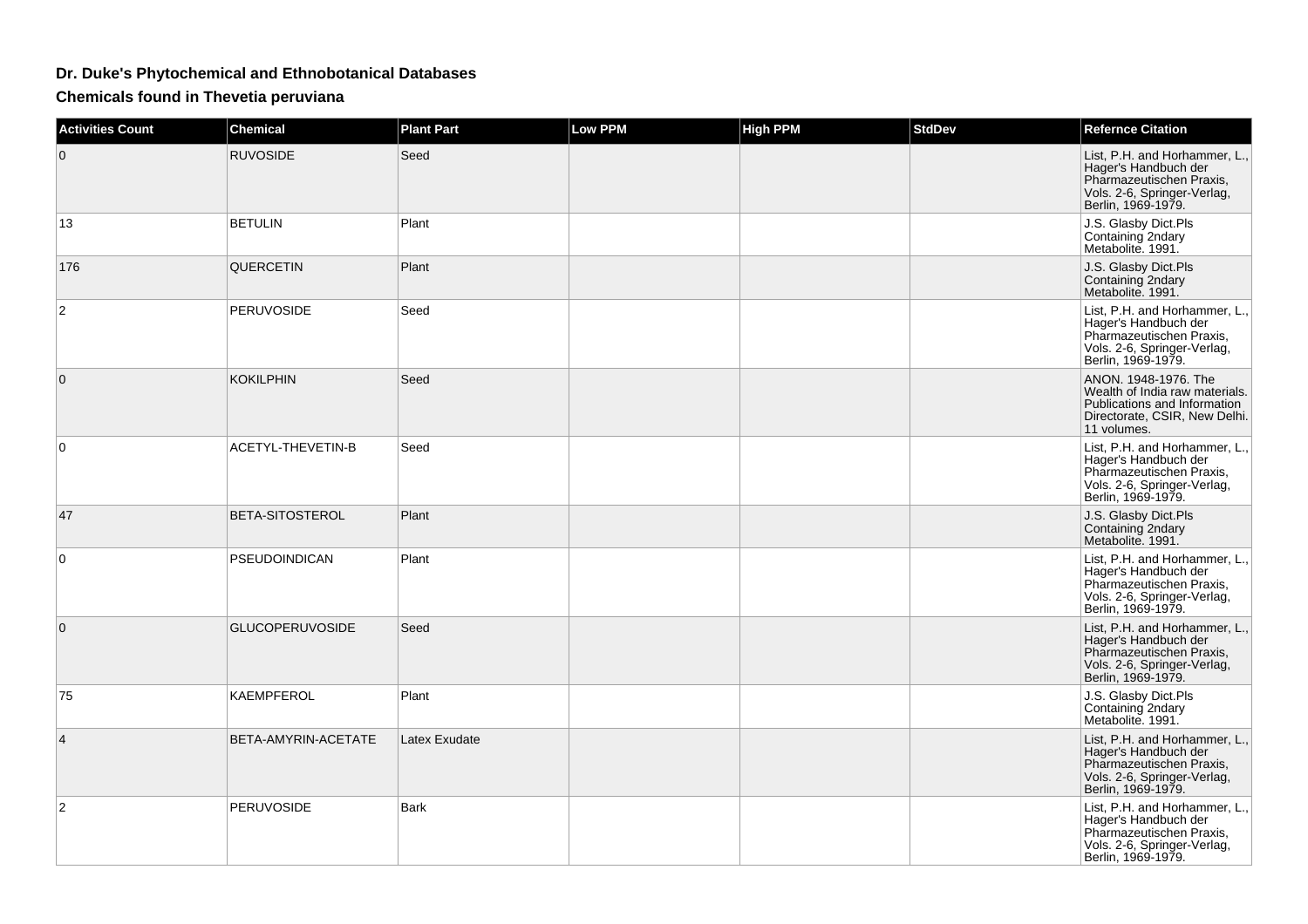## **Dr. Duke's Phytochemical and Ethnobotanical Databases**

**Chemicals found in Thevetia peruviana**

| <b>Activities Count</b> | <b>Chemical</b>          | <b>Plant Part</b> | <b>Low PPM</b> | <b>High PPM</b> | <b>StdDev</b> | <b>Refernce Citation</b>                                                                                                               |
|-------------------------|--------------------------|-------------------|----------------|-----------------|---------------|----------------------------------------------------------------------------------------------------------------------------------------|
| $\mathbf{0}$            | <b>RUVOSIDE</b>          | Seed              |                |                 |               | List, P.H. and Horhammer, L.,<br>Hager's Handbuch der<br>Pharmazeutischen Praxis,<br>Vols. 2-6, Springer-Verlag,<br>Berlin, 1969-1979. |
| 13                      | <b>BETULIN</b>           | Plant             |                |                 |               | J.S. Glasby Dict.Pls<br>Containing 2ndary<br>Metabolite. 1991.                                                                         |
| 176                     | QUERCETIN                | Plant             |                |                 |               | J.S. Glasby Dict.Pls<br>Containing 2ndary<br>Metabolite. 1991.                                                                         |
| 2                       | <b>PERUVOSIDE</b>        | Seed              |                |                 |               | List, P.H. and Horhammer, L.,<br>Hager's Handbuch der<br>Pharmazeutischen Praxis.<br>Vols. 2-6, Springer-Verlag,<br>Berlin, 1969-1979. |
| $\Omega$                | <b>KOKILPHIN</b>         | Seed              |                |                 |               | ANON. 1948-1976. The<br>Wealth of India raw materials.<br>Publications and Information<br>Directorate, CSIR, New Delhi.<br>11 volumes. |
| $\Omega$                | <b>ACETYL-THEVETIN-B</b> | Seed              |                |                 |               | List, P.H. and Horhammer, L.,<br>Hager's Handbuch der<br>Pharmazeutischen Praxis,<br>Vols. 2-6, Springer-Verlag,<br>Berlin, 1969-1979. |
| 47                      | <b>BETA-SITOSTEROL</b>   | Plant             |                |                 |               | J.S. Glasby Dict.Pls<br>Containing 2ndary<br>Metabolite. 1991.                                                                         |
| $\Omega$                | <b>PSEUDOINDICAN</b>     | Plant             |                |                 |               | List, P.H. and Horhammer, L.,<br>Hager's Handbuch der<br>Pharmazeutischen Praxis,<br>Vols. 2-6, Springer-Verlag,<br>Berlin, 1969-1979. |
| $\Omega$                | <b>GLUCOPERUVOSIDE</b>   | Seed              |                |                 |               | List, P.H. and Horhammer, L.,<br>Hager's Handbuch der<br>Pharmazeutischen Praxis,<br>Vols. 2-6, Springer-Verlag,<br>Berlin, 1969-1979. |
| 75                      | KAEMPFEROL               | Plant             |                |                 |               | J.S. Glasby Dict.Pls<br>Containing 2ndary<br>Metabolite. 1991.                                                                         |
| 4                       | BETA-AMYRIN-ACETATE      | Latex Exudate     |                |                 |               | List, P.H. and Horhammer, L.,<br>Hager's Handbuch der<br>Pharmazeutischen Praxis,<br>Vols. 2-6, Springer-Verlag,<br>Berlin, 1969-1979. |
| $\overline{2}$          | <b>PERUVOSIDE</b>        | <b>Bark</b>       |                |                 |               | List, P.H. and Horhammer, L.,<br>Hager's Handbuch der<br>Pharmazeutischen Praxis,<br>Vols. 2-6, Springer-Verlag,<br>Berlin, 1969-1979. |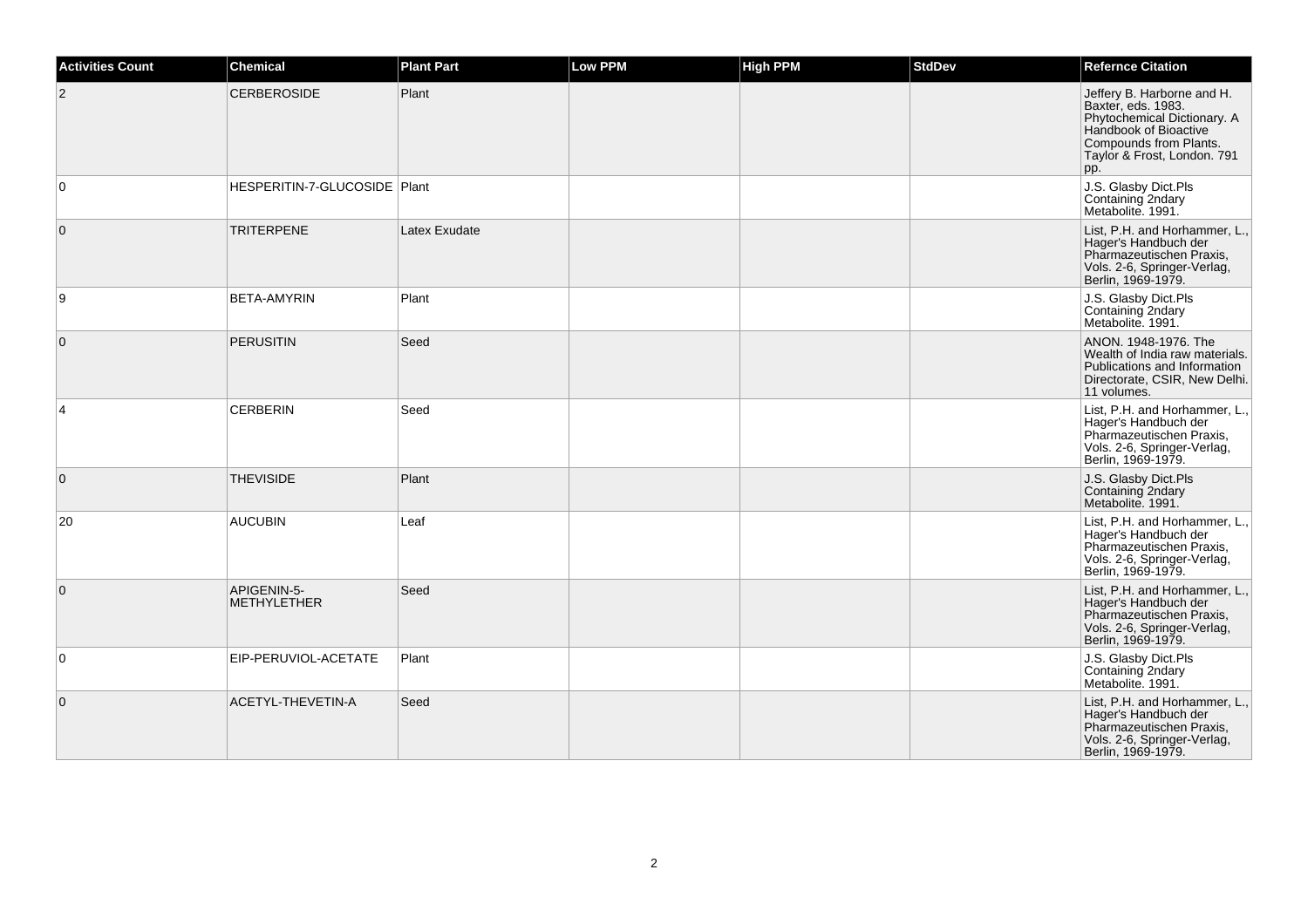| <b>Activities Count</b> | <b>Chemical</b>                   | <b>Plant Part</b> | Low PPM | <b>High PPM</b> | <b>StdDev</b> | <b>Refernce Citation</b>                                                                                                                                                 |
|-------------------------|-----------------------------------|-------------------|---------|-----------------|---------------|--------------------------------------------------------------------------------------------------------------------------------------------------------------------------|
| $\overline{c}$          | <b>CERBEROSIDE</b>                | Plant             |         |                 |               | Jeffery B. Harborne and H.<br>Baxter, eds. 1983.<br>Phytochemical Dictionary. A<br>Handbook of Bioactive<br>Compounds from Plants.<br>Taylor & Frost, London. 791<br>pp. |
| 0                       | HESPERITIN-7-GLUCOSIDE Plant      |                   |         |                 |               | J.S. Glasby Dict.Pls<br>Containing 2ndary<br>Metabolite. 1991.                                                                                                           |
| $\mathbf{0}$            | <b>TRITERPENE</b>                 | Latex Exudate     |         |                 |               | List, P.H. and Horhammer, L.,<br>Hager's Handbuch der<br>Pharmazeutischen Praxis,<br>Vols. 2-6, Springer-Verlag,<br>Berlin, 1969-1979.                                   |
| 9                       | <b>BETA-AMYRIN</b>                | Plant             |         |                 |               | J.S. Glasby Dict.Pls<br>Containing 2ndary<br>Metabolite. 1991.                                                                                                           |
| $\mathbf{0}$            | <b>PERUSITIN</b>                  | Seed              |         |                 |               | ANON. 1948-1976. The<br>Wealth of India raw materials.<br>Publications and Information<br>Directorate, CSIR, New Delhi.<br>11 volumes.                                   |
| $\overline{4}$          | <b>CERBERIN</b>                   | Seed              |         |                 |               | List, P.H. and Horhammer, L.,<br>Hager's Handbuch der<br>Pharmazeutischen Praxis,<br>Vols. 2-6, Springer-Verlag,<br>Berlin, 1969-1979.                                   |
| $\mathbf 0$             | <b>THEVISIDE</b>                  | Plant             |         |                 |               | J.S. Glasby Dict.Pls<br>Containing 2ndary<br>Metabolite. 1991.                                                                                                           |
| 20                      | <b>AUCUBIN</b>                    | Leaf              |         |                 |               | List, P.H. and Horhammer, L.,<br>Hager's Handbuch der<br>Pharmazeutischen Praxis,<br>Vols. 2-6, Springer-Verlag,<br>Berlin, 1969-1979.                                   |
| $\overline{0}$          | APIGENIN-5-<br><b>METHYLETHER</b> | Seed              |         |                 |               | List, P.H. and Horhammer, L.,<br>Hager's Handbuch der<br>Pharmazeutischen Praxis,<br>Vols. 2-6, Springer-Verlag,<br>Berlin, 1969-1979.                                   |
| 0                       | EIP-PERUVIOL-ACETATE              | Plant             |         |                 |               | J.S. Glasby Dict.Pls<br>Containing 2ndary<br>Metabolite, 1991.                                                                                                           |
| $\mathbf{0}$            | ACETYL-THEVETIN-A                 | Seed              |         |                 |               | List, P.H. and Horhammer, L.,<br>Hager's Handbuch der<br>Pharmazeutischen Praxis,<br>Vols. 2-6, Springer-Verlag,<br>Berlin, 1969-1979.                                   |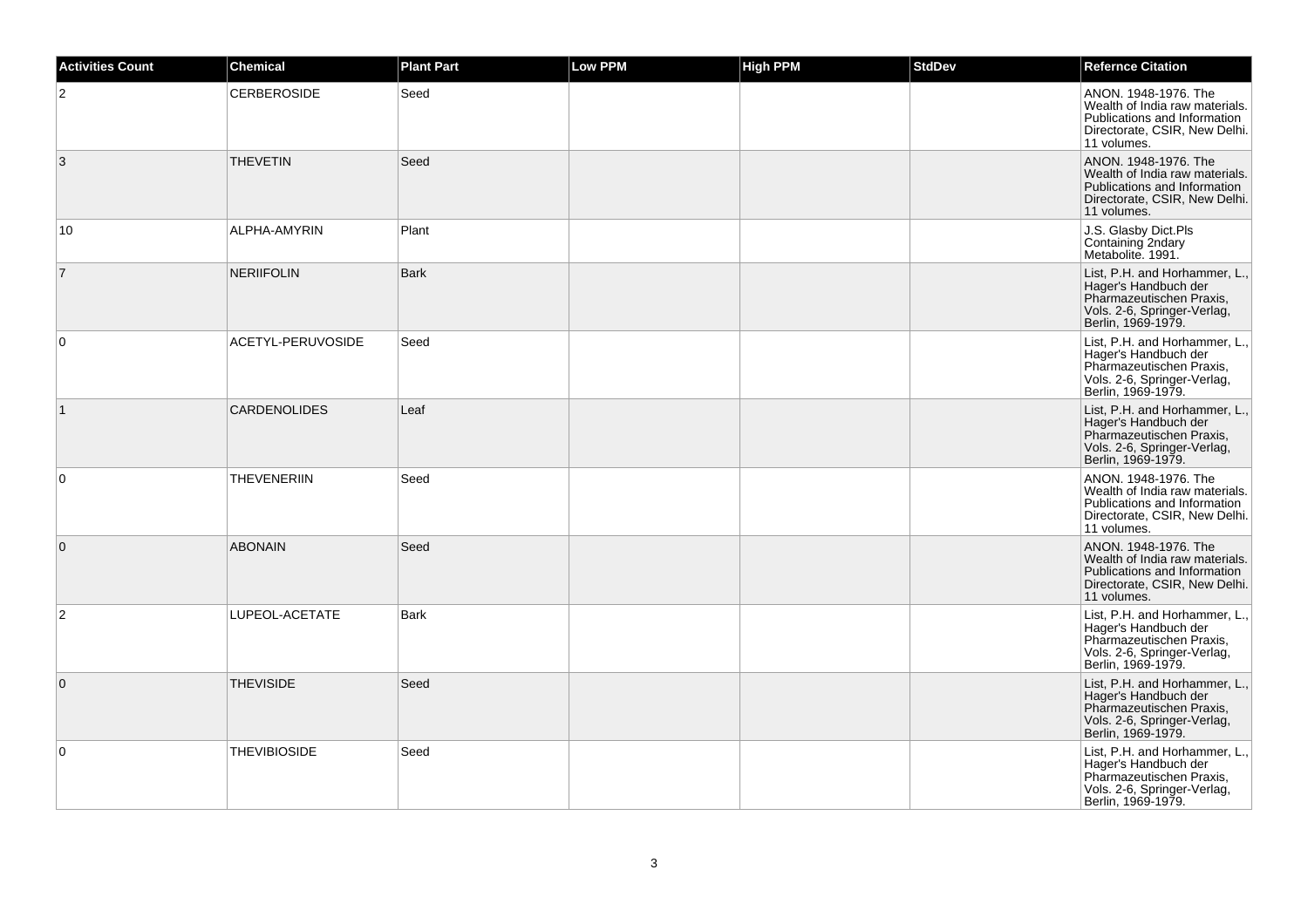| <b>Activities Count</b> | <b>Chemical</b>     | <b>Plant Part</b> | Low PPM | <b>High PPM</b> | <b>StdDev</b> | <b>Refernce Citation</b>                                                                                                               |
|-------------------------|---------------------|-------------------|---------|-----------------|---------------|----------------------------------------------------------------------------------------------------------------------------------------|
| 2                       | <b>CERBEROSIDE</b>  | Seed              |         |                 |               | ANON. 1948-1976. The<br>Wealth of India raw materials.<br>Publications and Information<br>Directorate, CSIR, New Delhi.<br>11 volumes. |
| 3                       | <b>THEVETIN</b>     | Seed              |         |                 |               | ANON. 1948-1976. The<br>Wealth of India raw materials.<br>Publications and Information<br>Directorate, CSIR, New Delhi.<br>11 volumes. |
| 10                      | ALPHA-AMYRIN        | Plant             |         |                 |               | J.S. Glasby Dict.Pls<br>Containing 2ndary<br>Metabolite. 1991.                                                                         |
| $\overline{7}$          | <b>NERIIFOLIN</b>   | <b>Bark</b>       |         |                 |               | List, P.H. and Horhammer, L.,<br>Hager's Handbuch der<br>Pharmazeutischen Praxis,<br>Vols. 2-6, Springer-Verlag,<br>Berlin, 1969-1979. |
| 0                       | ACETYL-PERUVOSIDE   | Seed              |         |                 |               | List, P.H. and Horhammer, L.,<br>Hager's Handbuch der<br>Pharmazeutischen Praxis,<br>Vols. 2-6, Springer-Verlag, Berlin, 1969-1979.    |
| $\mathbf{1}$            | <b>CARDENOLIDES</b> | Leaf              |         |                 |               | List, P.H. and Horhammer, L.,<br>Hager's Handbuch der<br>Pharmazeutischen Praxis,<br>Vols. 2-6, Springer-Verlag,<br>Berlin, 1969-1979. |
| $\mathbf 0$             | <b>THEVENERIIN</b>  | Seed              |         |                 |               | ANON. 1948-1976. The<br>Wealth of India raw materials.<br>Publications and Information<br>Directorate, CSIR, New Delhi.<br>11 volumes. |
| $\mathbf 0$             | <b>ABONAIN</b>      | Seed              |         |                 |               | ANON. 1948-1976. The<br>Wealth of India raw materials.<br>Publications and Information<br>Directorate, CSIR, New Delhi.<br>11 volumes. |
| 2                       | LUPEOL-ACETATE      | <b>Bark</b>       |         |                 |               | List, P.H. and Horhammer, L.,<br>Hager's Handbuch der<br>Pharmazeutischen Praxis,<br>Vols. 2-6, Springer-Verlag,<br>Berlin, 1969-1979. |
| $\mathbf 0$             | <b>THEVISIDE</b>    | Seed              |         |                 |               | List, P.H. and Horhammer, L.,<br>Hager's Handbuch der<br>Pharmazeutischen Praxis,<br>Vols. 2-6, Springer-Verlag,<br>Berlin, 1969-1979. |
| $\mathbf 0$             | <b>THEVIBIOSIDE</b> | Seed              |         |                 |               | List, P.H. and Horhammer, L.,<br>Hager's Handbuch der<br>Pharmazeutischen Praxis,<br>Vols. 2-6, Springer-Verlag,<br>Berlin, 1969-1979. |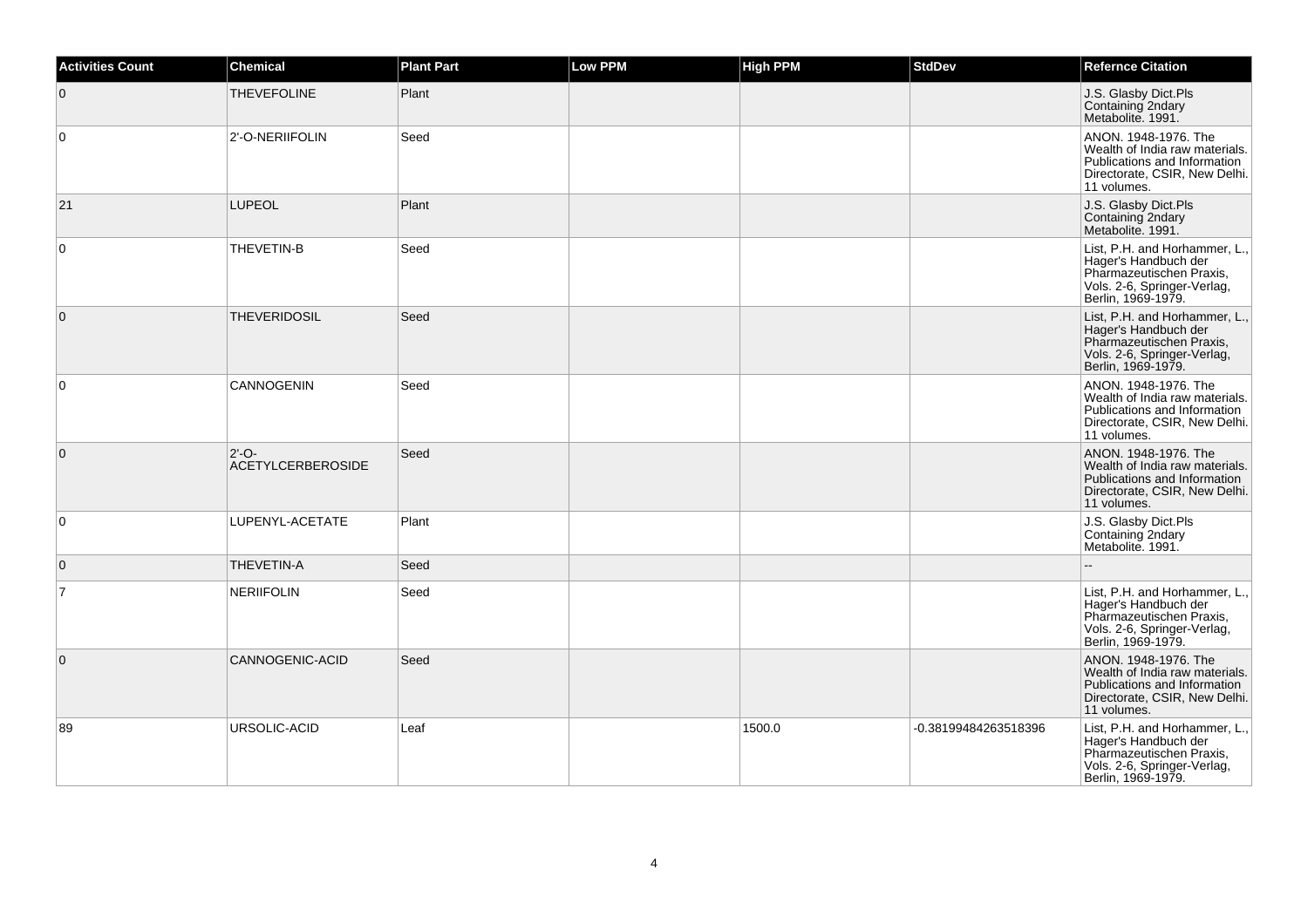| <b>Activities Count</b> | <b>Chemical</b>                     | <b>Plant Part</b> | <b>Low PPM</b> | <b>High PPM</b> | <b>StdDev</b>        | <b>Refernce Citation</b>                                                                                                               |
|-------------------------|-------------------------------------|-------------------|----------------|-----------------|----------------------|----------------------------------------------------------------------------------------------------------------------------------------|
| $\mathbf 0$             | <b>THEVEFOLINE</b>                  | Plant             |                |                 |                      | J.S. Glasby Dict.Pls<br>Containing 2ndary<br>Metabolite. 1991.                                                                         |
| 0                       | 2'-O-NERIIFOLIN                     | Seed              |                |                 |                      | ANON. 1948-1976. The<br>Wealth of India raw materials.<br>Publications and Information<br>Directorate, CSIR, New Delhi.<br>11 volumes. |
| 21                      | <b>LUPEOL</b>                       | Plant             |                |                 |                      | J.S. Glasby Dict.Pls<br>Containing 2ndary<br>Metabolite. 1991.                                                                         |
| 0                       | THEVETIN-B                          | Seed              |                |                 |                      | List, P.H. and Horhammer, L.,<br>Hager's Handbuch der<br>Pharmazeutischen Praxis,<br>Vols. 2-6, Springer-Verlag,<br>Berlin, 1969-1979. |
| $\mathbf{0}$            | <b>THEVERIDOSIL</b>                 | Seed              |                |                 |                      | List, P.H. and Horhammer, L.,<br>Hager's Handbuch der<br>Pharmazeutischen Praxis,<br>Vols. 2-6, Springer-Verlag, Berlin, 1969-1979.    |
| $\Omega$                | CANNOGENIN                          | Seed              |                |                 |                      | ANON. 1948-1976. The<br>Wealth of India raw materials.<br>Publications and Information<br>Directorate, CSIR, New Delhi.<br>11 volumes. |
| $\mathbf{0}$            | $2'-O-$<br><b>ACETYLCERBEROSIDE</b> | Seed              |                |                 |                      | ANON. 1948-1976. The<br>Wealth of India raw materials.<br>Publications and Information<br>Directorate, CSIR, New Delhi.<br>11 volumes. |
| $\mathbf 0$             | LUPENYL-ACETATE                     | Plant             |                |                 |                      | J.S. Glasby Dict.Pls<br>Containing 2ndary<br>Metabolite. 1991.                                                                         |
| $\mathbf{0}$            | THEVETIN-A                          | Seed              |                |                 |                      | ۵.                                                                                                                                     |
| $\overline{7}$          | <b>NERIIFOLIN</b>                   | Seed              |                |                 |                      | List, P.H. and Horhammer, L.,<br>Hager's Handbuch der<br>Pharmazeutischen Praxis,<br>Vols. 2-6, Springer-Verlag,<br>Berlin, 1969-1979. |
| $\mathbf 0$             | CANNOGENIC-ACID                     | Seed              |                |                 |                      | ANON. 1948-1976. The<br>Wealth of India raw materials.<br>Publications and Information<br>Directorate, CSIR, New Delhi.<br>11 volumes. |
| 89                      | URSOLIC-ACID                        | Leaf              |                | 1500.0          | -0.38199484263518396 | List, P.H. and Horhammer, L.,<br>Hager's Handbuch der<br>Pharmazeutischen Praxis,<br>Vols. 2-6, Springer-Verlag,<br>Berlin, 1969-1979. |